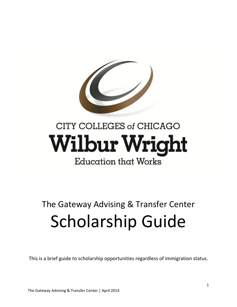

# CITY COLLEGES of CHICAGO **Wilbur Wright** Education that Works

# The Gateway Advising & Transfer Center Scholarship Guide

This is a brief guide to scholarship opportunities regardless of immigration status.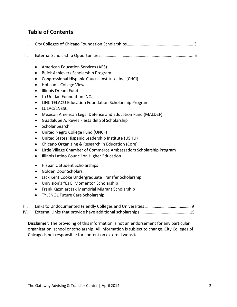#### **Table of Contents**

- II. External Scholarship Opportunities………………………………………………...……….…………....... 5
	- American Education Services (AES)
	- Buick Achievers Scholarship Program
	- Congressional Hispanic Caucus Institute, Inc. (CHCI)
	- Hobson's College View
	- Illinois Dream Fund
	- La Unidad Foundation INC.
	- LINC TELACU Education Foundation Scholarship Program
	- LULAC/LNESC
	- Mexican American Legal Defense and Education Fund (MALDEF)
	- Guadalupe A. Reyes Fiesta del Sol Scholarship
	- Scholar Search
	- United Negro College Fund (UNCF)
	- United States Hispanic Leadership Institute (USHLI)
	- Chicano Organizing & Research in Education (Core)
	- Little Village Chamber of Commerce Ambassadors Scholarship Program
	- **Illinois Latino Council on Higher Education**
	- Hispanic Student Scholarships
	- Golden Door Scholars
	- Jack Kent Cooke Undergraduate Transfer Scholarship
	- Univision's "Es El Momento" Scholarship
	- Frank Kazmierczak Memorial Migrant Scholarship
	- TYLENOL Future Care Scholarship

#### III. Links to Undocumented Friendly Colleges and Universities ……………………….....………. 9

IV. External Links that provide have additional scholarships………………………………………..15

**Disclaimer:** The providing of this information is not an endorsement for any particular organization, school or scholarship. All information is subject to change. City Colleges of Chicago is not responsible for content on external websites.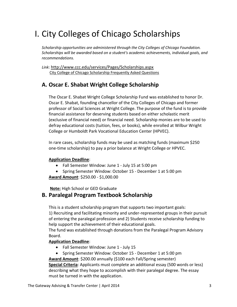# I. City Colleges of Chicago Scholarships

*Scholarship opportunities are administered through the City Colleges of Chicago Foundation. Scholarships will be awarded based on a student's academic achievements, individual goals, and recommendations.* 

*Link*: <http://www.ccc.edu/services/Pages/Scholarships.aspx> [City College of Chicago Scholarship Frequently Asked Questions](http://www.ccc.edu/departments/Pages/Scholarship-Frequently-Asked-Questions.aspx)

#### **A. Oscar E. Shabat Wright College Scholarship**

The Oscar E. Shabat Wright College Scholarship Fund was established to honor Dr. Oscar E. Shabat, founding chancellor of the City Colleges of Chicago and former professor of Social Sciences at Wright College. The purpose of the fund is to provide financial assistance for deserving students based on either scholastic merit (exclusive of financial need) or financial need. Scholarship monies are to be used to defray educational costs (tuition, fees, or books), while enrolled at Wilbur Wright College or Humboldt Park Vocational Education Center (HPVEC).

In rare cases, scholarship funds may be used as matching funds (maximum \$250 one-time scholarship) to pay a prior balance at Wright College or HPVEC.

#### **Application Deadline**:

- Fall Semester Window: June 1 July 15 at 5:00 pm
- Spring Semester Window: October 15 December 1 at 5:00 pm

**Award Amount**: \$250.00 - \$1,000.00

**Note:** High School or GED Graduate

#### **B. Paralegal Program Textbook Scholarship**

This is a student scholarship program that supports two important goals: 1) Recruiting and facilitating minority and under-represented groups in their pursuit of entering the paralegal profession and 2) Students receive scholarship funding to help support the achievement of their educational goals.

The fund was established through donations from the Paralegal Program Advisory Board.

#### **Application Deadline**:

- Fall Semester Window: June 1 July 15
- Spring Semester Window: October 15 December 1 at 5:00 pm

**Award Amount**: \$200.00 annually (\$100 each Fall/Spring semester)

**Special Criteria**: Applicants must complete an additional essay (500 words or less) describing what they hope to accomplish with their paralegal degree. The essay must be turned in with the application.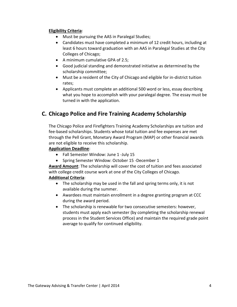#### **Eligibility Criteria**:

- Must be pursuing the AAS in Paralegal Studies;
- Candidates must have completed a minimum of 12 credit hours, including at least 6 hours toward graduation with an AAS in Paralegal Studies at the City Colleges of Chicago;
- A minimum cumulative GPA of 2.5;
- Good judicial standing and demonstrated initiative as determined by the scholarship committee;
- Must be a resident of the City of Chicago and eligible for in-district tuition rates;
- Applicants must complete an additional 500 word or less, essay describing what you hope to accomplish with your paralegal degree. The essay must be turned in with the application.

#### **C. Chicago Police and Fire Training Academy Scholarship**

The Chicago Police and Firefighters Training Academy Scholarships are tuition and fee-based scholarships. Students whose total tuition and fee expenses are met through the Pell Grant, Monetary Award Program (MAP) or other financial awards are not eligible to receive this scholarship.

#### **Application Deadline**:

- Fall Semester Window: June 1 -July 15
- Spring Semester Window: October 15 -December 1

**Award Amount**: The scholarship will cover the cost of tuition and fees associated with college credit course work at one of the City Colleges of Chicago. **Additional Criteria**:

- The scholarship may be used in the fall and spring terms only, it is not available during the summer.
- Awardees must maintain enrollment in a degree granting program at CCC during the award period.
- The scholarship is renewable for two consecutive semesters: however, students must apply each semester (by completing the scholarship renewal process in the Student Services Office) and maintain the required grade point average to qualify for continued eligibility.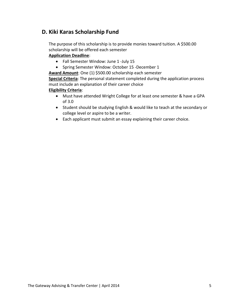#### **D. Kiki Karas Scholarship Fund**

The purpose of this scholarship is to provide monies toward tuition. A \$500.00 scholarship will be offered each semester

#### **Application Deadline**:

- Fall Semester Window: June 1 -July 15
- Spring Semester Window: October 15 -December 1

**Award Amount**: One (1) \$500.00 scholarship each semester

**Special Criteria**: The personal statement completed during the application process must include an explanation of their career choice

#### **Eligibility Criteria**:

- Must have attended Wright College for at least one semester & have a GPA of 3.0
- Student should be studying English & would like to teach at the secondary or college level or aspire to be a writer.
- Each applicant must submit an essay explaining their career choice.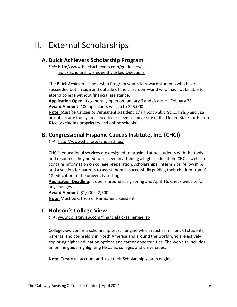# II. External Scholarships

#### **A. Buick Achievers Scholarship Program**

*Link*[: http://www.buickachievers.com/guidelines/](http://www.buickachievers.com/guidelines/) [Buick Scholarship Frequently asked Questions](http://www.buickachievers.com/faq/#majors)

The Buick Achievers Scholarship Program wants to reward students who have succeeded both inside and outside of the classroom—and who may not be able to attend college without financial assistance.

**Application Open**: Its generally open on January 6 and closes on Febuary 28. **Award Amount**: 100 applicants will Up to \$25,000.

**Note:** Must be Citizen or Permanent Resident. It's a renewable Scholarship and can be only at any four-year accredited college or university in the United States or Puerto Rico (excluding proprietary and online schools).

#### **B. Congressional Hispanic Caucus Institute, Inc. (CHCI)**

*Link:* <http://www.chci.org/scholarships/>

CHCI's educational services are designed to provide Latino students with the tools and resources they need to succeed in attaining a higher education. CHCI's web site contains information on college preparation, scholarships, internships, fellowships and a section for parents to assist them in successfully guiding their children from K-12 education to the university setting.

**Application Deadline**: It opens around early spring and April 16. Check website for any changes.

**Award Amount**: \$1,000 – 2,500 **Note:** Must be Citizen or Permanent Resident

#### **C. Hobson's College View**

*Link*: [www.collegeview.com/financialaid/salliemae.jsp](http://www.collegeview.com/financialaid/salliemae.jsp)

Collegeview.com is a scholarship search engine which reaches millions of students, parents, and counselors in North America and around the world who are actively exploring higher education options and career opportunities. The web site includes an online guide highlighting Hispanic colleges and universities.

**Note:** Create an account and use their Scholarship search engine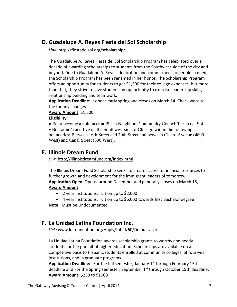#### **D. Guadalupe A. Reyes Fiesta del Sol Scholarship**

*Link:* <http://fiestadelsol.org/scholarship/>

The Guadalupe A. Reyes Fiesta del Sol Scholarship Program has celebrated over a decade of awarding scholarships to students from the Southwest side of the city and beyond. Due to Guadalupe A. Reyes' dedication and commitment to people in need, the Scholarship Program has been renamed in her honor. The Scholarship Program offers an opportunity for students to get \$1,500 for their college expenses, but more than that, they strive to give students an opportunity to exercise leadership skills, relationship building and teamwork.

**Application Deadline**: It opens early spring and closes on March 14. Check website the for any changes

**Award Amount**: \$1,500

#### **Eligibility:**

 Be or become a volunteer at Pilsen Neighbors Community Council/Fiesta del Sol

• Be Latino/a and live on the Southwest side of Chicago within the following boundaries: Between 16th Street and 79th Street and between Cicero Avenue (4800 West) and Canal Street (500 West);

#### **E. Illinois Dream Fund**

*Link:* <http://illinoisdreamfund.org/index.html>

The Illinois Dream Fund Scholarship seeks to create access to financial resources to further growth and development for the immigrant leaders of tomorrow. **Application Open**: Opens around December and generally closes on March 15, **Award Amount**:

- 2 year institutions: Tuition up to \$2,000
- 4 year institutions: Tuition up to \$6,000 towards first Bachelor degree **Note:** Must be Undocumented

#### **F. La Unidad Latina Foundation Inc.**

*Link:* [www.lulfoundation.org/Apply/tabid/60/Default.aspx](http://www.lulfoundation.org/Apply/tabid/60/Default.aspx)

La Unidad Latina Foundation awards scholarship grants to worthy and needy students for the pursuit of higher education. Scholarships are available on a competitive basis to Hispanic students enrolled at community colleges, at four-year institutions, and in graduate programs.

Application Deadline: For the fall semester, January 1<sup>st</sup> through February 15th deadline and For the Spring semester, September 1<sup>st</sup> through October 15th deadline. **Award Amount:** \$250 to \$1000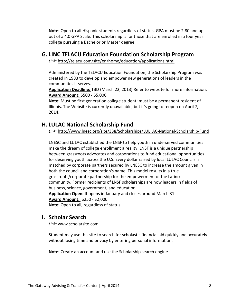**Note:** Open to all Hispanic students regardless of status. GPA must be 2.80 and up out of a 4.0 GPA Scale. This scholarship is for those that are enrolled in a four year college pursuing a Bachelor or Master degree

#### **G. LINC TELACU Education Foundation Scholarship Program**

*Link:* <http://telacu.com/site/en/home/education/applications.html>

Administered by the TELACU Education Foundation, the Scholarship Program was created in 1983 to develop and empower new generations of leaders in the communities it serves.

**Application Deadline:** TBD (March 22, 2013) Refer to website for more information. **Award Amount:** \$500 - \$5,000

**Note:** Must be first generation college student; must be a permanent resident of Illinois. The Website is currently unavailable, but it's going to reopen on April 7, 2014.

#### **H. LULAC National Scholarship Fund**

*Link:* [http://www.lnesc.org/site/338/Scholarships/LUL AC-National-Scholarship-Fund](http://www.lnesc.org/site/338/Scholarships/LUL%20%20AC-National-Scholarship-Fund)

LNESC and LULAC established the LNSF to help youth in underserved communities make the dream of college enrollment a reality. LNSF is a unique partnership between grassroots advocates and corporations to fund educational opportunities for deserving youth across the U.S. Every dollar raised by local LULAC Councils is matched by corporate partners secured by LNESC to increase the amount given in both the council and corporation's name. This model results in a true grassroots/corporate partnership for the empowerment of the Latino community. Former recipients of LNSF scholarships are now leaders in fields of business, science, government, and education. **Application Open:** It opens in January and closes around March 31 **Award Amount:** \$250 - \$2,000 **Note:** Open to all, regardless of status

#### **I. Scholar Search**

*Link:* [www.scholarsite.com](http://www.scholarsite.com/)

Student may use this site to search for scholastic financial aid quickly and accurately without losing time and privacy by entering personal information.

**Note:** Create an account and use the Scholarship search engine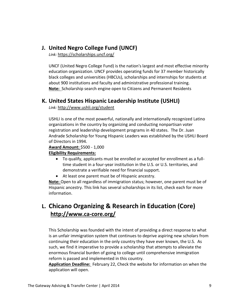#### **J. United Negro College Fund (UNCF)**

*Link:* <https://scholarships.uncf.org/>

UNCF (United Negro College Fund) is the nation's largest and most effective minority education organization. UNCF provides operating funds for 37 member historically black colleges and universities [\(HBCUs\)](http://uncf.org/sections/MemberColleges/SS_AboutHBCUs/about.hbcu.asp), scholarships and internships for students at about 900 institutions and faculty and administrative professional training. **Note:** Scholarship search engine open to Citizens and Permanent Residents

#### **K. United States Hispanic Leadership Institute (USHLI)**

*Link:* <http://www.ushli.org/student>

USHLI is one of the most powerful, nationally and internationally recognized Latino organizations in the country by organizing and conducting nonpartisan voter registration and leadership development programs in 40 states. The Dr. Juan Andrade Scholarship for Young Hispanic Leaders was established by the USHLI Board of Directors in 1994.

**Award Amount:** \$500 - 1,000

#### **Eligibility Requirements:**

- To qualify, applicants must be enrolled or accepted for enrollment as a fulltime student in a four-year institution in the U.S. or U.S. territories, and demonstrate a verifiable need for financial support.
- At least one parent must be of Hispanic ancestry.

**Note:** Open to all regardless of immigration status; however, one parent must be of Hispanic ancestry. This link has several scholarships in its list, check each for more information.

### **L. Chicano Organizing & Research in Education (Core) <http://www.ca-core.org/>**

This Scholarship was founded with the intent of providing a direct response to what is an unfair immigration system that continues to deprive aspiring new scholars from continuing their education in the only country they have ever known, the U.S. As such, we find it imperative to provide a scholarship that attempts to alleviate the enormous financial burden of going to college until comprehensive immigration reform is passed and implemented in this country.

**Application Deadline:** February 22, Check the website for information on when the application will open.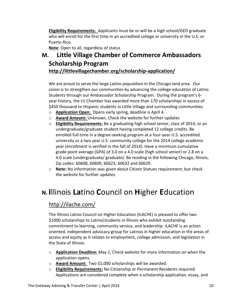**Eligibility Requirements:** Applicants must be or will be a high school/GED graduate who will enroll for the first time in an accredited college or university in the U.S. or Puerto Rico.

**Note**: Open to all, regardless of status

### **M. Little Village Chamber of Commerce Ambassadors Scholarship Program <http://littlevillagechamber.org/scholarship-application/>**

We are proud to serve the large Latino population in the Chicago land area. Our vision is to strengthen our communities by advancing the college education of Latino Students through our Ambassador Scholarship Program. During the program's 6 year history, the LV Chamber has awarded more than 170 scholarships in excess of \$450 thousand to Hispanic students in Little Village and surrounding communities

- o **Application Open:** Opens early spring, deadline is April 4.
- o **Award Amount:** Unknown, Check the website for further updates
- o **Eligibility Requirements:** Be a graduating high school senior, class of 2014, or an undergraduate/graduate student having completed 12 college credits. Be enrolled full-time in a degree-seeking program at a four-year U.S. accredited university or a two year U.S. community college for the 2014 college academic year (enrollment is verified in the fall of 2014). Have a minimum cumulative grade point average (GPA) of 3.0 on a 4.0 scale (high school senior) or 2.8 on a 4.0 scale (undergraduate/ graduate). Be residing in the following Chicago, Illinois, Zip codes: 60608, 60609, 60623, 60632 and 60629.
- o **Note:** No information was given about Citizen Statues requirement, but check the website for further updates

# **N. I**llinois **La**tino **C**ouncil on **H**igher **E**ducation

#### <http://ilache.com/>

The Illinois Latino Council on Higher Education (ILACHE) is pleased to offer two \$1000 scholarships to Latino/students in Illinois who exhibit outstanding commitment to learning, community service, and leadership. ILACHE is an action oriented, independent advocacy group for Latinos in higher education in the areas of access and equity as it relates to employment, college admission, and legislation in the State of Illinois.

- o **Application Deadline:** May 1, Check website for more information on when the application opens.
- o **Award Amount:** Two \$1,000 scholarships will be awarded.
- o **Eligibility Requirements:** No Citizenship or Permanent Residents required. Applications are considered complete when a scholarship application, essay, and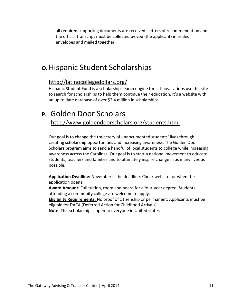all required supporting documents are received. Letters of recommendation and the official transcript must be collected by you (the applicant) in sealed envelopes and mailed together.

## **O.**Hispanic Student Scholarships

#### <http://latinocollegedollars.org/>

Hispanic Student Fund is a scholarship search engine for Latinos. Latinos use this site to search for scholarships to help them continue their education. It's a website with an up to date database of over \$2.4 million in scholarships.

### **P.** Golden Door Scholars <http://www.goldendoorscholars.org/students.html>

Our goal is to change the trajectory of undocumented students' lives through creating scholarship opportunities and increasing awareness. The Golden Door Scholars program aims to send a handful of local students to college while increasing awareness across the Carolinas. Our goal is to start a national movement to educate students, teachers and families and to ultimately inspire change in as many lives as possible.

**Application Deadline:** November is the deadline. Check website for when the application opens.

**Award Amount:** Full tuition, room and board for a four-year degree. Students attending a community college are welcome to apply.

**Eligibility Requirements:** No proof of citizenship or permanent, Applicants must be eligible for DACA (Deferred Action for Childhood Arrivals).

**Note:** This scholarship is open to everyone in United states.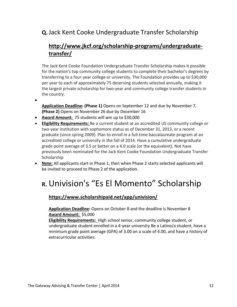### **Q.**Jack Kent Cooke Undergraduate Transfer Scholarship

### **[http://www.jkcf.org/scholarship-programs/undergraduate](http://www.jkcf.org/scholarship-programs/undergraduate-transfer/)[transfer/](http://www.jkcf.org/scholarship-programs/undergraduate-transfer/)**

The Jack Kent Cooke Foundation Undergraduate Transfer Scholarship makes it possible for the nation's top community college students to complete their bachelor's degrees by transferring to a four-year college or university. The Foundation provides up to \$30,000 per year to each of approximately 75 deserving students selected annually, making it the largest private scholarship for two-year and community college transfer students in the country.

- $\bullet$
- **Application Deadline: (Phase 1)** Opens on September 12 and due by November 7, **(Phase 2)** Opens on November 26 due by December 16
- **Award Amount:** 75 students will win up to \$30,000
- **Eligibility Requirements:** Be a current student at an accredited US community college or two-year institution with sophomore status as of December 31, 2013, or a recent graduate (since spring 2009). Plan to enroll in a full-time baccalaureate program at an accredited college or university in the fall of 2014. Have a cumulative undergraduate grade point average of 3.5 or better on a 4.0 scale (or the equivalent). Not have previously been nominated for the Jack Kent Cooke Foundation Undergraduate Transfer Scholarship
- **Note:** All applicants start in Phase 1, then when Phase 2 starts selected applicants will be invited to proceed to Phase 2 of the application.

# **R.** Univision's "Es El Momento" Scholarship

#### **<https://www.scholarshipaid.net/app/univision/>**

**Application Deadline:** Opens on October 8 and the deadline is November 8 **Award Amount:** \$5,000

**Eligibility Requirements:** High school senior, community college student, or undergraduate student enrolled in a 4-year university Be a Latino/a student, have a minimum grade point average (GPA) of 3.00 on a scale of 4.00, and have a history of extracurricular activities.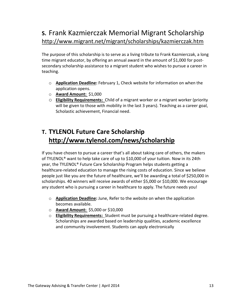## **S.** Frank Kazmierczak Memorial Migrant Scholarship <http://www.migrant.net/migrant/scholarships/kazmierczak.htm>

The purpose of this scholarship is to serve as a living tribute to Frank Kazmierczak, a long time migrant educator, by offering an annual award in the amount of \$1,000 for postsecondary scholarship assistance to a migrant student who wishes to pursue a career in teaching.

- o **Application Deadline:** February 1, Check website for information on when the application opens.
- o **Award Amount:** \$1,000
- o **Eligibility Requirements:** Child of a migrant worker or a migrant worker (priority will be given to those with mobility in the last 3 years). Teaching as a career goal, Scholastic achievement, Financial need.

### **T. TYLENOL Future Care Scholarship <http://www.tylenol.com/news/scholarship>**

If you have chosen to pursue a career that's all about taking care of others, the makers of TYLENOL® want to help take care of up to \$10,000 of your tuition. Now in its 24th year, the TYLENOL® Future Care Scholarship Program helps students getting a healthcare-related education to manage the rising costs of education. Since we believe people just like you are the future of healthcare, we'll be awarding a total of \$250,000 in scholarships. 40 winners will receive awards of either \$5,000 or \$10,000. We encourage any student who is pursuing a career in healthcare to apply. The future needs you!

- o **Application Deadline:** June, Refer to the website on when the application becomes available.
- o **Award Amount:** \$5,000 or \$10,000
- o **Eligibility Requirements:** Student must be pursuing a healthcare-related degree. Scholarships are awarded based on leadership qualities, academic excellence and community involvement. Students can apply electronically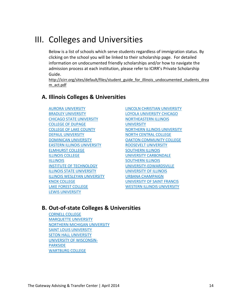# III. Colleges and Universities

Below is a list of schools which serve students regardless of immigration status. By clicking on the school you will be linked to their scholarship page. For detailed information on undocumented friendly scholarships and/or how to navigate the admission process at each institution, please refer to ICIRR's Private Scholarship Guide.

[http://icirr.org/sites/default/files/student\\_guide\\_for\\_illinois\\_undocumented\\_students\\_drea](http://icirr.org/sites/default/files/student_guide_for_illinois_undocumented_students_dream_act.pdf) [m\\_act.pdf](http://icirr.org/sites/default/files/student_guide_for_illinois_undocumented_students_dream_act.pdf)

#### **A. Illinois Colleges & Universities**

[AURORA UNIVERSITY](http://www.aurora.edu/admission/financialaid/types-of-aid/scholarships.html#axzz2eiv8x67V) [BRADLEY UNIVERSITY](http://www.bradley.edu/academic/departments/imet/scholarships/) [CHICAGO STATE UNIVERSITY](http://www.csu.edu/financialaid/scholarshipinformation.htm) [COLLEGE OF DUPAGE](http://www.cod.edu/tuition/financial_aid/scholarships.aspx) [COLLEGE OF LAKE COUNTY](http://www.clcillinois.edu/financialaid/foundation.asp) [DEPAUL UNIVERSITY](http://driehaus.depaul.edu/admission/awards-and-scholarships/Pages/default.aspx) [DOMINICAN UNIVERSITY](http://public.dom.edu/admission/undergraduate/scholarships/transfer) [EASTERN ILLINOIS UNIVERSITY](http://www.eiu.edu/~transfer/prospective_scholarships.php) [ELMHURST COLLEGE](http://public.elmhurst.edu/finaid/1288677.html#transfer) [ILLINOIS COLLEGE](http://www.ic.edu/default.aspx?RelID=618307&issearch=scholarships#item618312) [IILLINOIS](http://admissions.iit.edu/undergraduate/finances/scholarships) [INSTITUTE OF TECHNOLOGY](http://admissions.iit.edu/undergraduate/finances/scholarships) [ILLINOIS STATE UNIVERSITY](http://financialaid.illinoisstate.edu/scholarships/) [ILLINOIS WESLEYAN UNIVERSITY](http://www.iwu.edu/finaid/grants/SG_Types.html) [KNOX COLLEGE](http://www.knox.edu/admission-and-financial-aid/scholarships/transfer-student-scholarships.html) [LAKE FOREST COLLEGE](http://www.lakeforest.edu/admissions/apply/transfer/clc.php) [LEWIS UNIVERSITY](http://www.lewisu.edu/admissions/finaid/scholarships.htm)

[LINCOLN CHRISTIAN UNIVERSITY](https://www.lincolnchristian.edu/financial-aid/scholarships.php) [LOYOLA UNIVERSITY CHICAGO](http://www.luc.edu/finaid/scholarships_auto.shtml) [NORTHEASTERN ILLINOIS](http://www.neiu.edu/Academics/College%20of%20Education/Scholarships/scholarships.html) **[UNIVERSITY](http://www.neiu.edu/Academics/College%20of%20Education/Scholarships/scholarships.html)** [NORTHERN ILLINOIS UNIVERSITY](http://www.scholarships.niu.edu/scholarships/) [NORTH CENTRAL COLLEGE](http://northcentralcollege.edu/financial-aid/transfer-scholarships) [OAKTON COMMUNITY COLLEGE](http://www.oakton.edu/giving/ways_to_give/scholarships/index.php) [ROOSEVELT UNIVERSITY](http://www.roosevelt.edu/FinancialAid/FATypes/StateScholarships.aspx) [SOUTHERN ILLINOIS](http://scholarships.siu.edu/types/transfer/index.html) [UNIVERSITY CARBONDALE](http://scholarships.siu.edu/types/transfer/index.html) [SOUTHERN ILLINOIS](http://www.siue.edu/admissions/admissions-scholarships.shtml) [UNIVERSITY-EDWARDSVILLE](http://www.siue.edu/admissions/admissions-scholarships.shtml) [UNIVERSITY OF ILLINOIS](http://www.admissions.illinois.edu/cost/scholarships.html) [URBANA CHAMPAIGN](http://www.admissions.illinois.edu/cost/scholarships.html) [UNIVERSITY OF SAINT FRANCIS](https://www.stfrancis.edu/admissions/financial-aid/transfer-scholarships-grants/#.UjNN26ymWRg) [WESTERN ILLINOIS UNIVERSITY](http://www.wiu.edu/student_services/scholarship/transferScholarships.php)

#### **B. Out-of-state Colleges & Universities**

[CORNELL COLLEGE](http://cornellcollege.edu/financial-assistance/types-of-assistance/Cornell-Scholarships/index.shtml) [MARQUETTE UNIVERSITY](http://www.marquette.edu/explore/scholarships.shtml) [NORTHERN MICHIGAN UNIVERSITY](http://www.nmu.edu/financialaid/nmugrants) [SAINT LOUIS UNIVERSITY](http://www.slu.edu/x14444.xml) [SETON HALL UNIVERSITY](http://www.shu.edu/applying/undergraduate/scholarships.cfm) [UNIVERSITY OF WISCONSIN-](http://www.uwp.edu/departments/scholarships/index.cfm)[PARKSIDE](http://www.uwp.edu/departments/scholarships/index.cfm) [WARTBURG COLLEGE](http://www.wartburg.edu/finaid/scholarships.aspx)